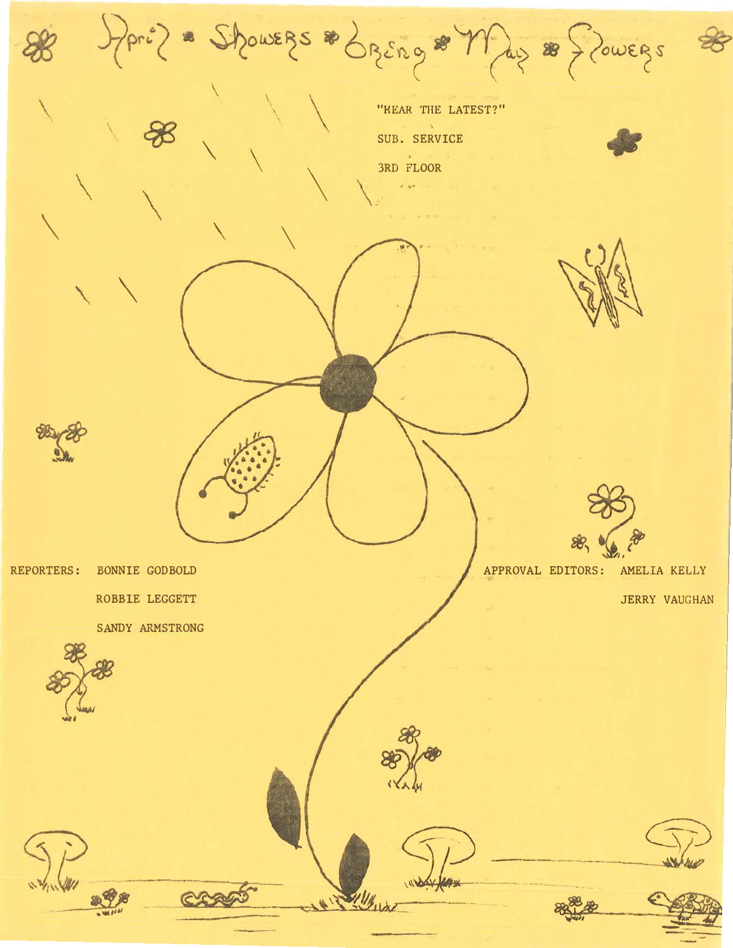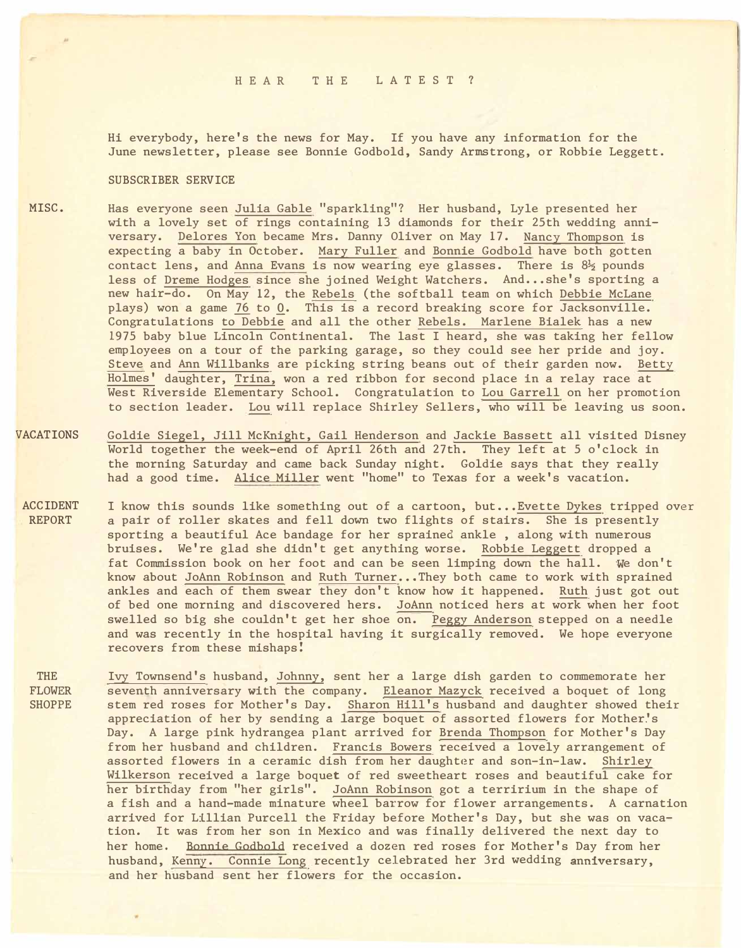## H E AR T H E L A T E S T ?

Hi everybody, here's the news for May. If you have any information for the June newsletter, please see Bonnie Godbold, Sandy Armstrong, or Robbie Leggett.

## SUBSCRIBER SERVICE

MISC.

Has everyone seen Julia Gable "sparkling"? Her husband, Lyle presented her with a lovely set of rings containing 13 diamonds for their 25th wedding anniversary. Delores Yon became Mrs. Danny Oliver on May 17. Nancy Thompson is expecting a baby in October. Mary Fuller and Bonnie Godbold have both gotten contact lens, and Anna Evans is now wearing eye glasses. There is 8½ pounds less of Dreme Hodges since she joined Weight Watchers. And...she's sporting a new hair-do. On May 12, the Rebels (the softball team on which Debbie McLane plays) won a game 76 to 0. This is a record breaking score for Jacksonville. Congratulations to Debbie and all the other Rebels. Marlene Bialek has a new 1975 baby blue Lincoln Continental. The last I heard, she was taking her fellow employees on a tour of the parking garage, so they could see her pride and joy. Steve and Ann Willbanks are picking string beans out of their garden now. Betty Holmes' daughter, Trina, won a red ribbon for second place in a relay race at West Riverside Elementary School. Congratulation to Lou Garrell on her promotion to section leader. Lou will replace Shirley Sellers, who will be leaving us soon.

- VACATIONS Goldie Siegel, Jill McKnight, Gail Henderson and Jackie Bassett all visited Disney World together the week-end of April 26th and 27th. They left at 5 o'clock in the morning Saturday and came back Sunday night. Goldie says that they really had a good time. Alice Miller went "home" to Texas for a week's vacation.
- ACCIDENT REPORT I know this sounds like something out of a cartoon, but... Evette Dykes tripped over a pair of roller skates and fell down two flights of stairs. She is presently sporting a beautiful Ace bandage for her sprained ankle , along with numerous bruises. We're glad she didn't get anything worse. Robbie Leggett dropped a fat Connnission book on her foot and can be seen limping down the hall. We don't know about JoAnn Robinson and Ruth Turner...They both came to work with sprained ankles and each of them swear they don't know how it happened. Ruth just got out of bed one morning and discovered hers. JoAnn noticed hers at work when her foot swelled so big she couldn't get her shoe on. Peggy Anderson stepped on a needle and was recently in the hospital having it surgically removed. We hope everyone recovers from these mishaps?
	- THE FLOWER **SHOPPE** Ivy Townsend's husband, Johnny, sent her a large dish garden to commemorate her seventh anniversary with the company. Eleanor Mazyck received a boquet of long stem red roses for Mother's Day. Sharon Hill's husband and daughter showed their appreciation of her by sending a large boquet of assorted flowers for Mother.'s Day. A large pink hydrangea plant arrived for Brenda Thompson for Mother's Day from her husband and children. Francis Bowers received a lovely arrangement of assorted flowers in a ceramic dish from her daughter and son-in-law. Shirley Wilkerson received a large boquet of red sweetheart roses and beautiful cake for her birthday from "her girls". JoAnn Robinson got a terririum in the shape of a fish and a hand-made minature wheel barrow for flower arrangements. A carnation arrived for Lillian Purcell the Friday before Mother's Day, but she was on vacation. It was from her son in Mexico and was finally delivered the next day to her home. Bonnie Godbold received a dozen red roses for Mother's Day from her husband, Kenny. Connie Long recently celebrated her 3rd wedding anniversary, and her husband sent her flowers for the occasion.